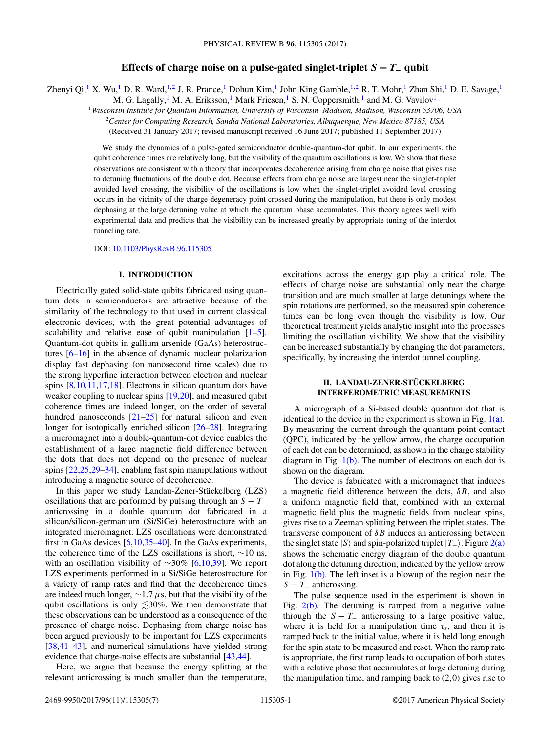# **Effects of charge noise on a pulse-gated singlet-triplet**  $S - T_$ **qubit**

Zhenyi Qi,<sup>1</sup> X. Wu,<sup>1</sup> D. R. Ward,<sup>1,2</sup> J. R. Prance,<sup>1</sup> Dohun Kim,<sup>1</sup> John King Gamble,<sup>1,2</sup> R. T. Mohr,<sup>1</sup> Zhan Shi,<sup>1</sup> D. E. Savage,<sup>1</sup>

M. G. Lagally,<sup>1</sup> M. A. Eriksson,<sup>1</sup> Mark Friesen,<sup>1</sup> S. N. Coppersmith,<sup>1</sup> and M. G. Vavilov<sup>1</sup>

<sup>1</sup>*Wisconsin Institute for Quantum Information, University of Wisconsin–Madison, Madison, Wisconsin 53706, USA*

<sup>2</sup>*Center for Computing Research, Sandia National Laboratories, Albuquerque, New Mexico 87185, USA*

(Received 31 January 2017; revised manuscript received 16 June 2017; published 11 September 2017)

We study the dynamics of a pulse-gated semiconductor double-quantum-dot qubit. In our experiments, the qubit coherence times are relatively long, but the visibility of the quantum oscillations is low. We show that these observations are consistent with a theory that incorporates decoherence arising from charge noise that gives rise to detuning fluctuations of the double dot. Because effects from charge noise are largest near the singlet-triplet avoided level crossing, the visibility of the oscillations is low when the singlet-triplet avoided level crossing occurs in the vicinity of the charge degeneracy point crossed during the manipulation, but there is only modest dephasing at the large detuning value at which the quantum phase accumulates. This theory agrees well with experimental data and predicts that the visibility can be increased greatly by appropriate tuning of the interdot tunneling rate.

DOI: [10.1103/PhysRevB.96.115305](https://doi.org/10.1103/PhysRevB.96.115305)

# **I. INTRODUCTION**

Electrically gated solid-state qubits fabricated using quantum dots in semiconductors are attractive because of the similarity of the technology to that used in current classical electronic devices, with the great potential advantages of scalability and relative ease of qubit manipulation  $[1-5]$ . Quantum-dot qubits in gallium arsenide (GaAs) heterostructures [\[6–16\]](#page-5-0) in the absence of dynamic nuclear polarization display fast dephasing (on nanosecond time scales) due to the strong hyperfine interaction between electron and nuclear spins [\[8,](#page-5-0)10[,11,17,18\]](#page-5-0). Electrons in silicon quantum dots have weaker coupling to nuclear spins [\[19,20\]](#page-6-0), and measured qubit coherence times are indeed longer, on the order of several hundred nanoseconds [\[21–25\]](#page-6-0) for natural silicon and even longer for isotopically enriched silicon [\[26–28\]](#page-6-0). Integrating a micromagnet into a double-quantum-dot device enables the establishment of a large magnetic field difference between the dots that does not depend on the presence of nuclear spins [\[22,25,29–34\]](#page-6-0), enabling fast spin manipulations without introducing a magnetic source of decoherence.

In this paper we study Landau-Zener-Stückelberg (LZS) oscillations that are performed by pulsing through an  $S - T_{\pm}$ anticrossing in a double quantum dot fabricated in a silicon/silicon-germanium (Si/SiGe) heterostructure with an integrated micromagnet. LZS oscillations were demonstrated first in GaAs devices [\[6,10,](#page-5-0)[35–40\]](#page-6-0). In the GaAs experiments, the coherence time of the LZS oscillations is short, ∼10 ns, with an oscillation visibility of ∼30% [\[6,10](#page-5-0)[,39\]](#page-6-0). We report LZS experiments performed in a Si/SiGe heterostructure for a variety of ramp rates and find that the decoherence times are indeed much longer, ∼1*.*7*μ*s, but that the visibility of the qubit oscillations is only  $\lesssim$ 30%. We then demonstrate that these observations can be understood as a consequence of the presence of charge noise. Dephasing from charge noise has been argued previously to be important for LZS experiments [\[38,41–43\]](#page-6-0), and numerical simulations have yielded strong evidence that charge-noise effects are substantial [\[43,44\]](#page-6-0).

Here, we argue that because the energy splitting at the relevant anticrossing is much smaller than the temperature, excitations across the energy gap play a critical role. The effects of charge noise are substantial only near the charge transition and are much smaller at large detunings where the spin rotations are performed, so the measured spin coherence times can be long even though the visibility is low. Our theoretical treatment yields analytic insight into the processes limiting the oscillation visibility. We show that the visibility can be increased substantially by changing the dot parameters, specifically, by increasing the interdot tunnel coupling.

## **II. LANDAU-ZENER-STÜCKELBERG INTERFEROMETRIC MEASUREMENTS**

A micrograph of a Si-based double quantum dot that is identical to the device in the experiment is shown in Fig.  $1(a)$ . By measuring the current through the quantum point contact (QPC), indicated by the yellow arrow, the charge occupation of each dot can be determined, as shown in the charge stability diagram in Fig. [1\(b\).](#page-1-0) The number of electrons on each dot is shown on the diagram.

The device is fabricated with a micromagnet that induces a magnetic field difference between the dots, *δB*, and also a uniform magnetic field that, combined with an external magnetic field plus the magnetic fields from nuclear spins, gives rise to a Zeeman splitting between the triplet states. The transverse component of *δB* induces an anticrossing between the singlet state  $|S\rangle$  and spin-polarized triplet  $|T_-\rangle$ . Figure [2\(a\)](#page-1-0) shows the schematic energy diagram of the double quantum dot along the detuning direction, indicated by the yellow arrow in Fig.  $1(b)$ . The left inset is a blowup of the region near the *S* − *T*<sub>−</sub> anticrossing.

The pulse sequence used in the experiment is shown in Fig.  $2(b)$ . The detuning is ramped from a negative value through the  $S - T_$  anticrossing to a large positive value, where it is held for a manipulation time  $\tau_s$ , and then it is ramped back to the initial value, where it is held long enough for the spin state to be measured and reset. When the ramp rate is appropriate, the first ramp leads to occupation of both states with a relative phase that accumulates at large detuning during the manipulation time, and ramping back to (2*,*0) gives rise to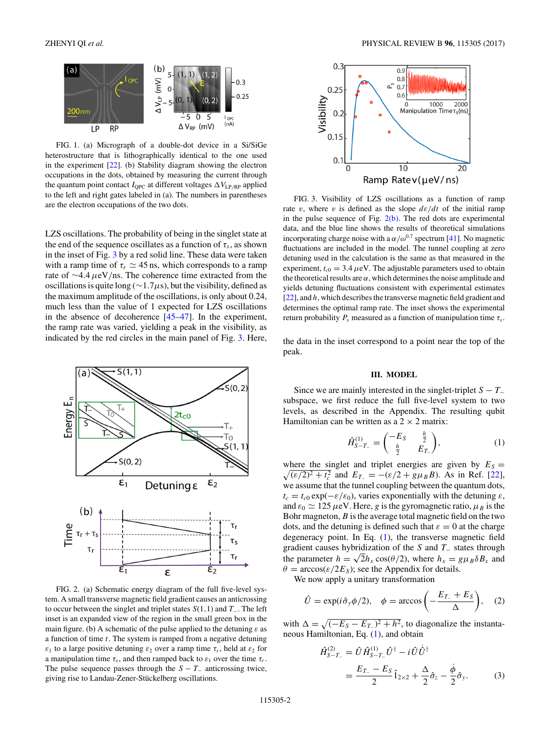<span id="page-1-0"></span>

FIG. 1. (a) Micrograph of a double-dot device in a Si/SiGe heterostructure that is lithographically identical to the one used in the experiment [\[22\]](#page-6-0). (b) Stability diagram showing the electron occupations in the dots, obtained by measuring the current through the quantum point contact  $I_{QPC}$  at different voltages  $\Delta V_{LP/RP}$  applied to the left and right gates labeled in (a). The numbers in parentheses are the electron occupations of the two dots.

LZS oscillations. The probability of being in the singlet state at the end of the sequence oscillates as a function of  $\tau_s$ , as shown in the inset of Fig. 3 by a red solid line. These data were taken with a ramp time of  $\tau_r \simeq 45$  ns, which corresponds to a ramp rate of ∼4*.*4*μ*eV*/*ns. The coherence time extracted from the oscillations is quite long (∼1*.*7*μ*s), but the visibility, defined as the maximum amplitude of the oscillations, is only about 0.24, much less than the value of 1 expected for LZS oscillations in the absence of decoherence [\[45–47\]](#page-6-0). In the experiment, the ramp rate was varied, yielding a peak in the visibility, as indicated by the red circles in the main panel of Fig. 3. Here,



FIG. 2. (a) Schematic energy diagram of the full five-level system. A small transverse magnetic field gradient causes an anticrossing to occur between the singlet and triplet states *S*(1*,*1) and *T*−. The left inset is an expanded view of the region in the small green box in the main figure. (b) A schematic of the pulse applied to the detuning *ε* as a function of time *t*. The system is ramped from a negative detuning *ε*<sub>1</sub> to a large positive detuning  $\varepsilon_2$  over a ramp time  $\tau_r$ , held at  $\varepsilon_2$  for a manipulation time  $\tau_s$ , and then ramped back to  $\varepsilon_1$  over the time  $\tau_r$ . The pulse sequence passes through the  $S - T_-\$  anticrossing twice, giving rise to Landau-Zener-Stückelberg oscillations.



FIG. 3. Visibility of LZS oscillations as a function of ramp rate *v*, where *v* is defined as the slope  $d\varepsilon/dt$  of the initial ramp in the pulse sequence of Fig.  $2(b)$ . The red dots are experimental data, and the blue line shows the results of theoretical simulations incorporating charge noise with a  $\alpha/\omega^{0.7}$  spectrum [\[41\]](#page-6-0). No magnetic fluctuations are included in the model. The tunnel coupling at zero detuning used in the calculation is the same as that measured in the experiment,  $t_{c0} = 3.4 \mu\text{eV}$ . The adjustable parameters used to obtain the theoretical results are  $\alpha$ , which determines the noise amplitude and yields detuning fluctuations consistent with experimental estimates [\[22\]](#page-6-0), and *h*, which describes the transverse magnetic field gradient and determines the optimal ramp rate. The inset shows the experimental return probability  $P_s$  measured as a function of manipulation time  $\tau_s$ .

the data in the inset correspond to a point near the top of the peak.

### **III. MODEL**

Since we are mainly interested in the singlet-triplet  $S - T_$ subspace, we first reduce the full five-level system to two levels, as described in the Appendix. The resulting qubit Hamiltonian can be written as a  $2 \times 2$  matrix:

$$
\hat{H}_{S-T_{-}}^{(1)} = \begin{pmatrix} -E_S & \frac{h}{2} \\ \frac{h}{2} & E_{T_{-}} \end{pmatrix}, \tag{1}
$$

where the singlet and triplet energies are given by  $E_S =$  $\sqrt{(\varepsilon/2)^2 + t_c^2}$  and  $E_{T_-} = -(\varepsilon/2 + g\mu_B B)$ . As in Ref. [\[22\]](#page-6-0), we assume that the tunnel coupling between the quantum dots,  $t_c = t_{c0} \exp(-\varepsilon/\varepsilon_0)$ , varies exponentially with the detuning  $\varepsilon$ , and  $\varepsilon_0 \simeq 125 \,\mu\text{eV}$ . Here, *g* is the gyromagnetic ratio,  $\mu_B$  is the Bohr magneton,*B* is the average total magnetic field on the two dots, and the detuning is defined such that  $\varepsilon = 0$  at the charge degeneracy point. In Eq. (1), the transverse magnetic field gradient causes hybridization of the *S* and *T*<sup>−</sup> states through the parameter  $h = \sqrt{2}h_x \cos(\theta/2)$ , where  $h_x = g\mu_B \delta B_x$  and  $\theta = \arccos(\varepsilon/2E_S)$ ; see the Appendix for details.

We now apply a unitary transformation

$$
\hat{U} = \exp(i\hat{\sigma}_y \phi/2), \quad \phi = \arccos\left(-\frac{E_{T_-} + E_S}{\Delta}\right), \quad (2)
$$

with  $\Delta = \sqrt{(-E_S - E_{T-})^2 + h^2}$ , to diagonalize the instantaneous Hamiltonian, Eq. (1), and obtain

$$
\hat{H}_{S-T_{-}}^{(2)} = \hat{U}\hat{H}_{S-T_{-}}^{(1)}\hat{U}^{\dagger} - i\hat{U}\dot{U}^{\dagger} \n= \frac{E_{T_{-}} - E_{S}}{2}\hat{1}_{2\times 2} + \frac{\Delta}{2}\hat{\sigma}_{z} - \frac{\dot{\phi}}{2}\hat{\sigma}_{y}.
$$
\n(3)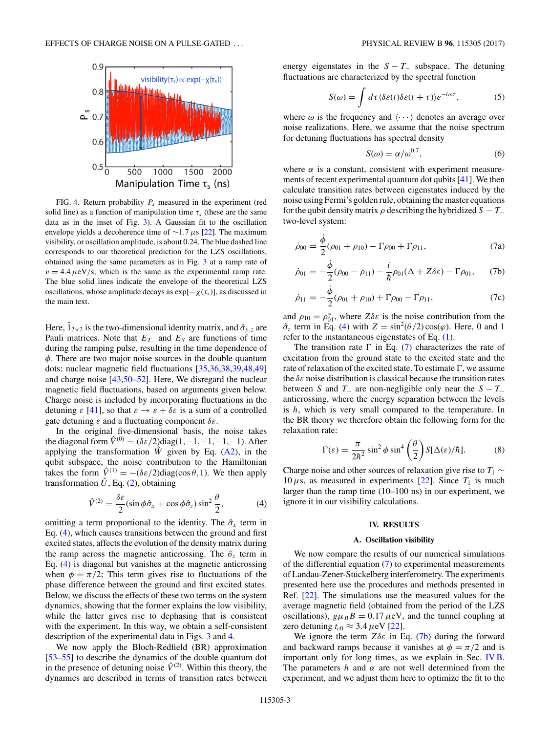<span id="page-2-0"></span>

FIG. 4. Return probability  $P_s$  measured in the experiment (red solid line) as a function of manipulation time  $\tau_s$  (these are the same data as in the inset of Fig. [3\)](#page-1-0). A Gaussian fit to the oscillation envelope yields a decoherence time of ∼1*.*7*μ*s [\[22\]](#page-6-0). The maximum visibility, or oscillation amplitude, is about 0.24. The blue dashed line corresponds to our theoretical prediction for the LZS oscillations, obtained using the same parameters as in Fig. [3](#page-1-0) at a ramp rate of  $v = 4.4 \mu\text{eV/s}$ , which is the same as the experimental ramp rate. The blue solid lines indicate the envelope of the theoretical LZS oscillations, whose amplitude decays as  $exp[-\chi(\tau_s)]$ , as discussed in the main text.

Here,  $\hat{1}_{2\times2}$  is the two-dimensional identity matrix, and  $\hat{\sigma}_{y,z}$  are Pauli matrices. Note that  $E_T$  and  $E_S$  are functions of time during the ramping pulse, resulting in the time dependence of *φ*. There are two major noise sources in the double quantum dots: nuclear magnetic field fluctuations [\[35,36,38,39,48,49\]](#page-6-0) and charge noise [\[43,50–52\]](#page-6-0). Here, We disregard the nuclear magnetic field fluctuations, based on arguments given below. Charge noise is included by incorporating fluctuations in the detuning  $\varepsilon$  [\[41\]](#page-6-0), so that  $\varepsilon \to \varepsilon + \delta \varepsilon$  is a sum of a controlled gate detuning *ε* and a fluctuating component *δε*.

In the original five-dimensional basis, the noise takes the diagonal form  $\hat{V}^{(0)} = (\delta \varepsilon / 2) \text{diag}(1, -1, -1, -1, -1)$ . After applying the transformation  $\hat{W}$  given by Eq. [\(A2\)](#page-4-0), in the qubit subspace, the noise contribution to the Hamiltonian takes the form  $\hat{V}^{(1)} = -(\delta \varepsilon/2) \text{diag}(\cos \theta, 1)$ . We then apply transformation  $\hat{U}$ , Eq. [\(2\)](#page-1-0), obtaining

$$
\hat{V}^{(2)} = \frac{\delta \varepsilon}{2} (\sin \phi \hat{\sigma}_x + \cos \phi \hat{\sigma}_z) \sin^2 \frac{\theta}{2},\tag{4}
$$

omitting a term proportional to the identity. The  $\hat{\sigma}_r$  term in Eq. (4), which causes transitions between the ground and first excited states, affects the evolution of the density matrix during the ramp across the magnetic anticrossing. The  $\hat{\sigma}_z$  term in Eq. (4) is diagonal but vanishes at the magnetic anticrossing when  $\phi = \pi/2$ ; This term gives rise to fluctuations of the phase difference between the ground and first excited states. Below, we discuss the effects of these two terms on the system dynamics, showing that the former explains the low visibility, while the latter gives rise to dephasing that is consistent with the experiment. In this way, we obtain a self-consistent description of the experimental data in Figs. [3](#page-1-0) and 4.

We now apply the Bloch-Redfield (BR) approximation [\[53–55\]](#page-6-0) to describe the dynamics of the double quantum dot in the presence of detuning noise  $\hat{V}^{(2)}$ . Within this theory, the dynamics are described in terms of transition rates between energy eigenstates in the  $S - T_-\$  subspace. The detuning fluctuations are characterized by the spectral function

$$
S(\omega) = \int d\tau \langle \delta \varepsilon(t) \delta \varepsilon(t+\tau) \rangle e^{-i\omega \tau}, \tag{5}
$$

where  $\omega$  is the frequency and  $\langle \cdots \rangle$  denotes an average over noise realizations. Here, we assume that the noise spectrum for detuning fluctuations has spectral density

$$
S(\omega) = \alpha/\omega^{0.7},\tag{6}
$$

where  $\alpha$  is a constant, consistent with experiment measurements of recent experimental quantum dot qubits [\[41\]](#page-6-0). We then calculate transition rates between eigenstates induced by the noise using Fermi's golden rule, obtaining the master equations for the qubit density matrix  $\rho$  describing the hybridized  $S - T_-\$ two-level system:

$$
\dot{\rho}_{00} = \frac{\dot{\phi}}{2} (\rho_{01} + \rho_{10}) - \Gamma \rho_{00} + \Gamma \rho_{11}, \tag{7a}
$$

$$
\dot{\rho}_{01} = -\frac{\dot{\phi}}{2}(\rho_{00} - \rho_{11}) - \frac{i}{\hbar}\rho_{01}(\Delta + Z\delta\varepsilon) - \Gamma\rho_{01}, \qquad (7b)
$$

$$
\dot{\rho}_{11} = -\frac{\dot{\phi}}{2}(\rho_{01} + \rho_{10}) + \Gamma \rho_{00} - \Gamma \rho_{11},\tag{7c}
$$

and  $\rho_{10} = \rho_{01}^*$ , where  $Z\delta\varepsilon$  is the noise contribution from the  $\hat{\sigma}_z$  term in Eq. (4) with  $Z = \sin^2(\theta/2) \cos(\varphi)$ . Here, 0 and 1 refer to the instantaneous eigenstates of Eq. [\(1\)](#page-1-0).

The transition rate  $\Gamma$  in Eq. (7) characterizes the rate of excitation from the ground state to the excited state and the rate of relaxation of the excited state. To estimate  $\Gamma$ , we assume the *δε* noise distribution is classical because the transition rates between *S* and  $T_$  are non-negligible only near the  $S - T_$ anticrossing, where the energy separation between the levels is *h*, which is very small compared to the temperature. In the BR theory we therefore obtain the following form for the relaxation rate:

$$
\Gamma(\varepsilon) = \frac{\pi}{2\hbar^2} \sin^2 \phi \sin^4 \left(\frac{\theta}{2}\right) S[\Delta(\varepsilon)/\hbar].
$$
 (8)

Charge noise and other sources of relaxation give rise to  $T_1 \sim$ 10  $\mu$ s, as measured in experiments [\[22\]](#page-6-0). Since  $T_1$  is much larger than the ramp time (10–100 ns) in our experiment, we ignore it in our visibility calculations.

## **IV. RESULTS**

#### **A. Oscillation visibility**

We now compare the results of our numerical simulations of the differential equation (7) to experimental measurements of Landau-Zener-Stückelberg interferometry. The experiments presented here use the procedures and methods presented in Ref. [\[22\]](#page-6-0). The simulations use the measured values for the average magnetic field (obtained from the period of the LZS oscillations),  $g\mu_B B = 0.17 \mu\text{eV}$ , and the tunnel coupling at zero detuning  $t_{c0} \approx 3.4 \,\mu\text{eV}$  [\[22\]](#page-6-0).

We ignore the term  $Z\delta\varepsilon$  in Eq. (7b) during the forward and backward ramps because it vanishes at  $\phi = \pi/2$  and is important only for long times, as we explain in Sec. [IV B.](#page-3-0) The parameters  $h$  and  $\alpha$  are not well determined from the experiment, and we adjust them here to optimize the fit to the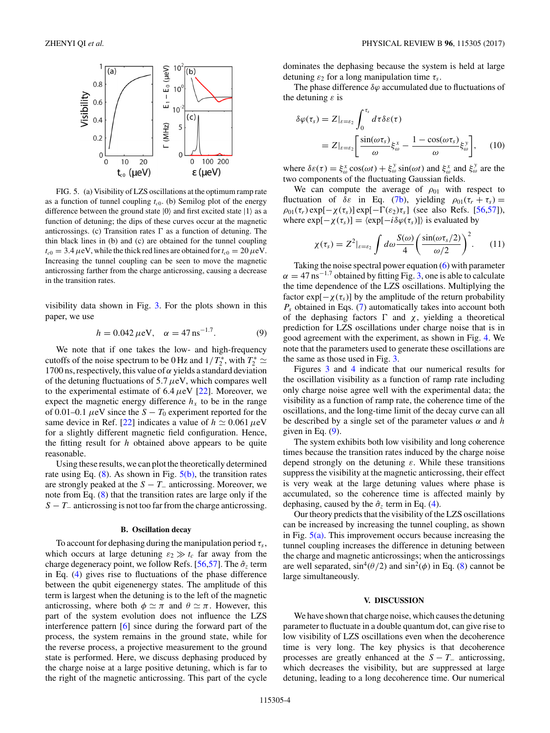<span id="page-3-0"></span>

FIG. 5. (a) Visibility of LZS oscillations at the optimum ramp rate as a function of tunnel coupling  $t_{c0}$ . (b) Semilog plot of the energy difference between the ground state  $|0\rangle$  and first excited state  $|1\rangle$  as a function of detuning; the dips of these curves occur at the magnetic anticrossings. (c) Transition rates  $\Gamma$  as a function of detuning. The thin black lines in (b) and (c) are obtained for the tunnel coupling  $t_{c0} = 3.4 \,\mu\text{eV}$ , while the thick red lines are obtained for  $t_{c0} = 20 \,\mu\text{eV}$ . Increasing the tunnel coupling can be seen to move the magnetic anticrossing farther from the charge anticrossing, causing a decrease in the transition rates.

visibility data shown in Fig. [3.](#page-1-0) For the plots shown in this paper, we use

$$
h = 0.042 \,\mu\text{eV}, \quad \alpha = 47 \,\text{ns}^{-1.7}.\tag{9}
$$

We note that if one takes the low- and high-frequency cutoffs of the noise spectrum to be 0 Hz and  $1/T_2^*$ , with  $T_2^* \simeq$ 1700 ns, respectively, this value of  $\alpha$  yields a standard deviation of the detuning fluctuations of 5*.*7*μ*eV, which compares well to the experimental estimate of  $6.4 \mu\text{eV}$  [\[22\]](#page-6-0). Moreover, we expect the magnetic energy difference  $h<sub>x</sub>$  to be in the range of 0.01–0.1  $\mu$ eV since the *S* − *T*<sub>0</sub> experiment reported for the same device in Ref. [\[22\]](#page-6-0) indicates a value of  $h \approx 0.061 \,\mu\text{eV}$ for a slightly different magnetic field configuration. Hence, the fitting result for *h* obtained above appears to be quite reasonable.

Using these results, we can plot the theoretically determined rate using Eq.  $(8)$ . As shown in Fig.  $5(b)$ , the transition rates are strongly peaked at the  $S - T_-\$ anticrossing. Moreover, we note from Eq. [\(8\)](#page-2-0) that the transition rates are large only if the *S* − *T*<sub>−</sub> anticrossing is not too far from the charge anticrossing.

#### **B. Oscillation decay**

To account for dephasing during the manipulation period  $\tau_s$ , which occurs at large detuning  $\varepsilon_2 \gg t_c$  far away from the charge degeneracy point, we follow Refs. [\[56,57\]](#page-6-0). The  $\hat{\sigma}_z$  term in Eq. [\(4\)](#page-2-0) gives rise to fluctuations of the phase difference between the qubit eigenenergy states. The amplitude of this term is largest when the detuning is to the left of the magnetic anticrossing, where both  $\phi \simeq \pi$  and  $\theta \simeq \pi$ . However, this part of the system evolution does not influence the LZS interference pattern [\[6\]](#page-5-0) since during the forward part of the process, the system remains in the ground state, while for the reverse process, a projective measurement to the ground state is performed. Here, we discuss dephasing produced by the charge noise at a large positive detuning, which is far to the right of the magnetic anticrossing. This part of the cycle dominates the dephasing because the system is held at large detuning  $\varepsilon_2$  for a long manipulation time  $\tau_s$ .

The phase difference *δϕ* accumulated due to fluctuations of the detuning *ε* is

$$
\delta\varphi(\tau_s) = Z|_{\varepsilon=\varepsilon_2} \int_0^{\tau_s} d\tau \delta\varepsilon(\tau)
$$
  
= 
$$
Z|_{\varepsilon=\varepsilon_2} \left[ \frac{\sin(\omega \tau_s)}{\omega} \xi_{\omega}^x - \frac{1 - \cos(\omega \tau_s)}{\omega} \xi_{\omega}^y \right], \quad (10)
$$

where  $\delta \varepsilon(\tau) = \xi_{\omega}^x \cos(\omega t) + \xi_{\omega}^y \sin(\omega t)$  and  $\xi_{\omega}^x$  and  $\xi_{\omega}^y$  are the two components of the fluctuating Gaussian fields.

We can compute the average of  $\rho_{01}$  with respect to fluctuation of  $\delta \varepsilon$  in Eq. [\(7b\)](#page-2-0), yielding  $\rho_{01}(\tau_r + \tau_s) =$  $\rho_{01}(\tau_r) \exp[-\chi(\tau_s)] \exp[-\Gamma(\varepsilon_2)\tau_s]$  (see also Refs. [\[56,57\]](#page-6-0)), where  $\exp[-\chi(\tau_s)] = \langle \exp[-i\delta\varphi(\tau_s)] \rangle$  is evaluated by

$$
\chi(\tau_s) = Z^2|_{\varepsilon = \varepsilon_2} \int d\omega \frac{S(\omega)}{4} \left( \frac{\sin(\omega \tau_s/2)}{\omega/2} \right)^2.
$$
 (11)

Taking the noise spectral power equation [\(6\)](#page-2-0) with parameter  $\alpha = 47$  ns<sup>-1.7</sup> obtained by fitting Fig. [3,](#page-1-0) one is able to calculate the time dependence of the LZS oscillations. Multiplying the factor  $\exp[-\chi(\tau_s)]$  by the amplitude of the return probability *Ps* obtained in Eqs. [\(7\)](#page-2-0) automatically takes into account both of the dephasing factors  $\Gamma$  and  $\chi$ , yielding a theoretical prediction for LZS oscillations under charge noise that is in good agreement with the experiment, as shown in Fig. [4.](#page-2-0) We note that the parameters used to generate these oscillations are the same as those used in Fig. [3.](#page-1-0)

Figures [3](#page-1-0) and [4](#page-2-0) indicate that our numerical results for the oscillation visibility as a function of ramp rate including only charge noise agree well with the experimental data; the visibility as a function of ramp rate, the coherence time of the oscillations, and the long-time limit of the decay curve can all be described by a single set of the parameter values *α* and *h* given in Eq.  $(9)$ .

The system exhibits both low visibility and long coherence times because the transition rates induced by the charge noise depend strongly on the detuning *ε*. While these transitions suppress the visibility at the magnetic anticrossing, their effect is very weak at the large detuning values where phase is accumulated, so the coherence time is affected mainly by dephasing, caused by the  $\hat{\sigma}_z$  term in Eq. [\(4\)](#page-2-0).

Our theory predicts that the visibility of the LZS oscillations can be increased by increasing the tunnel coupling, as shown in Fig.  $5(a)$ . This improvement occurs because increasing the tunnel coupling increases the difference in detuning between the charge and magnetic anticrossings; when the anticrossings are well separated,  $\sin^4(\theta/2)$  and  $\sin^2(\phi)$  in Eq. [\(8\)](#page-2-0) cannot be large simultaneously.

#### **V. DISCUSSION**

We have shown that charge noise, which causes the detuning parameter to fluctuate in a double quantum dot, can give rise to low visibility of LZS oscillations even when the decoherence time is very long. The key physics is that decoherence processes are greatly enhanced at the  $S - T_-\$  anticrossing, which decreases the visibility, but are suppressed at large detuning, leading to a long decoherence time. Our numerical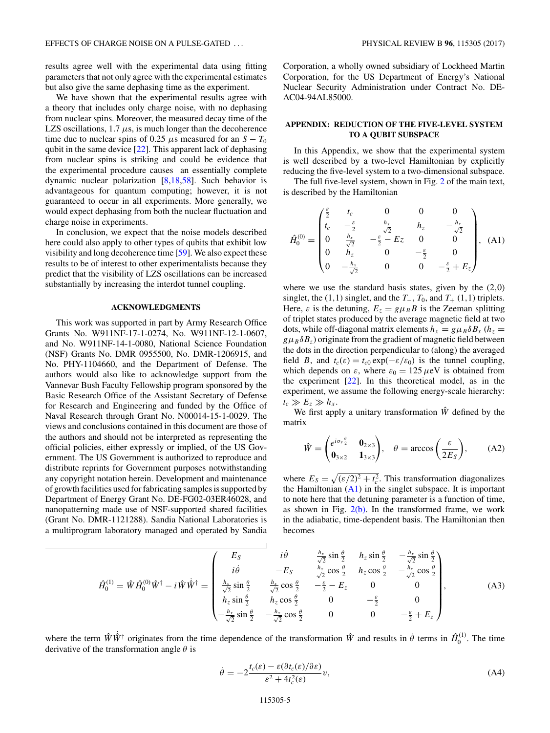<span id="page-4-0"></span>results agree well with the experimental data using fitting parameters that not only agree with the experimental estimates but also give the same dephasing time as the experiment.

We have shown that the experimental results agree with a theory that includes only charge noise, with no dephasing from nuclear spins. Moreover, the measured decay time of the LZS oscillations,  $1.7 \mu s$ , is much longer than the decoherence time due to nuclear spins of 0.25  $\mu$ s measured for an  $S - T_0$ qubit in the same device  $[22]$ . This apparent lack of dephasing from nuclear spins is striking and could be evidence that the experimental procedure causes an essentially complete dynamic nuclear polarization [\[8,18](#page-5-0)[,58\]](#page-6-0). Such behavior is advantageous for quantum computing; however, it is not guaranteed to occur in all experiments. More generally, we would expect dephasing from both the nuclear fluctuation and charge noise in experiments.

In conclusion, we expect that the noise models described here could also apply to other types of qubits that exhibit low visibility and long decoherence time [\[59\]](#page-6-0). We also expect these results to be of interest to other experimentalists because they predict that the visibility of LZS oscillations can be increased substantially by increasing the interdot tunnel coupling.

### **ACKNOWLEDGMENTS**

This work was supported in part by Army Research Office Grants No. W911NF-17-1-0274, No. W911NF-12-1-0607, and No. W911NF-14-1-0080, National Science Foundation (NSF) Grants No. DMR 0955500, No. DMR-1206915, and No. PHY-1104660, and the Department of Defense. The authors would also like to acknowledge support from the Vannevar Bush Faculty Fellowship program sponsored by the Basic Research Office of the Assistant Secretary of Defense for Research and Engineering and funded by the Office of Naval Research through Grant No. N00014-15-1-0029. The views and conclusions contained in this document are those of the authors and should not be interpreted as representing the official policies, either expressly or implied, of the US Government. The US Government is authorized to reproduce and distribute reprints for Government purposes notwithstanding any copyright notation herein. Development and maintenance of growth facilities used for fabricating samples is supported by Department of Energy Grant No. DE-FG02-03ER46028, and nanopatterning made use of NSF-supported shared facilities (Grant No. DMR-1121288). Sandia National Laboratories is a multiprogram laboratory managed and operated by Sandia

Corporation, a wholly owned subsidiary of Lockheed Martin Corporation, for the US Department of Energy's National Nuclear Security Administration under Contract No. DE-AC04-94AL85000.

## **APPENDIX: REDUCTION OF THE FIVE-LEVEL SYSTEM TO A QUBIT SUBSPACE**

In this Appendix, we show that the experimental system is well described by a two-level Hamiltonian by explicitly reducing the five-level system to a two-dimensional subspace.

The full five-level system, shown in Fig. [2](#page-1-0) of the main text, is described by the Hamiltonian

$$
\hat{H}_0^{(0)} = \begin{pmatrix}\n\frac{\varepsilon}{2} & t_c & 0 & 0 & 0 \\
t_c & -\frac{\varepsilon}{2} & \frac{h_x}{\sqrt{2}} & h_z & -\frac{h_x}{\sqrt{2}} \\
0 & \frac{h_x}{\sqrt{2}} & -\frac{\varepsilon}{2} - E_z & 0 & 0 \\
0 & h_z & 0 & -\frac{\varepsilon}{2} & 0 \\
0 & -\frac{h_x}{\sqrt{2}} & 0 & 0 & -\frac{\varepsilon}{2} + E_z\n\end{pmatrix}
$$
\n(A1)

where we use the standard basis states, given by the (2*,*0) singlet, the (1,1) singlet, and the  $T_$ ,  $T_0$ , and  $T_+$  (1,1) triplets. Here,  $\varepsilon$  is the detuning,  $E_z = g \mu_B B$  is the Zeeman splitting of triplet states produced by the average magnetic field at two dots, while off-diagonal matrix elements  $h_x = g\mu_B \delta B_x$  ( $h_z = g\mu_B \delta B_y$  $g\mu_B\delta B_z$ ) originate from the gradient of magnetic field between the dots in the direction perpendicular to (along) the averaged field *B*, and  $t_c(\varepsilon) = t_{c0} \exp(-\varepsilon/\varepsilon_0)$  is the tunnel coupling, which depends on  $\varepsilon$ , where  $\varepsilon_0 = 125 \,\mu\text{eV}$  is obtained from the experiment [\[22\]](#page-6-0). In this theoretical model, as in the experiment, we assume the following energy-scale hierarchy:  $t_c \gg E_z \gg h_x$ .

We first apply a unitary transformation  $\hat{W}$  defined by the matrix

$$
\hat{W} = \begin{pmatrix} e^{i\sigma_y \frac{\theta}{2}} & \mathbf{0}_{2\times 3} \\ \mathbf{0}_{3\times 2} & \mathbf{1}_{3\times 3} \end{pmatrix}, \quad \theta = \arccos\left(\frac{\varepsilon}{2E_S}\right), \tag{A2}
$$

where  $E_S = \sqrt{(\varepsilon/2)^2 + t_c^2}$ . This transformation diagonalizes the Hamiltonian  $(A1)$  in the singlet subspace. It is important to note here that the detuning parameter is a function of time, as shown in Fig.  $2(b)$ . In the transformed frame, we work in the adiabatic, time-dependent basis. The Hamiltonian then becomes

$$
\hat{H}_{0}^{(1)} = \hat{W}\hat{H}_{0}^{(0)}\hat{W}^{\dagger} - i\hat{W}\hat{W}^{\dagger} = \begin{pmatrix}\nE_{S} & i\dot{\theta} & \frac{h_{x}}{\sqrt{2}}\sin\frac{\theta}{2} & h_{z}\sin\frac{\theta}{2} & -\frac{h_{x}}{\sqrt{2}}\sin\frac{\theta}{2} \\
i\dot{\theta} & -E_{S} & \frac{h_{x}}{\sqrt{2}}\cos\frac{\theta}{2} & h_{z}\cos\frac{\theta}{2} & -\frac{h_{x}}{\sqrt{2}}\cos\frac{\theta}{2} \\
\frac{h_{x}}{\sqrt{2}}\sin\frac{\theta}{2} & \frac{h_{x}}{\sqrt{2}}\cos\frac{\theta}{2} & -\frac{\varepsilon}{2} - E_{z} & 0 & 0 \\
h_{z}\sin\frac{\theta}{2} & h_{z}\cos\frac{\theta}{2} & 0 & -\frac{\varepsilon}{2} & 0 \\
-\frac{h_{x}}{\sqrt{2}}\sin\frac{\theta}{2} & -\frac{h_{x}}{\sqrt{2}}\cos\frac{\theta}{2} & 0 & 0 & -\frac{\varepsilon}{2} + E_{z}\n\end{pmatrix},
$$
\n(A3)

where the term  $\hat{W}\hat{W}^{\dagger}$  originates from the time dependence of the transformation  $\hat{W}$  and results in  $\hat{\theta}$  terms in  $\hat{H}_0^{(1)}$ . The time derivative of the transformation angle *θ* is

 $\overline{1}$ 

$$
\dot{\theta} = -2 \frac{t_c(\varepsilon) - \varepsilon (\partial t_c(\varepsilon)/\partial \varepsilon)}{\varepsilon^2 + 4t_c^2(\varepsilon)} v,
$$
\n(A4)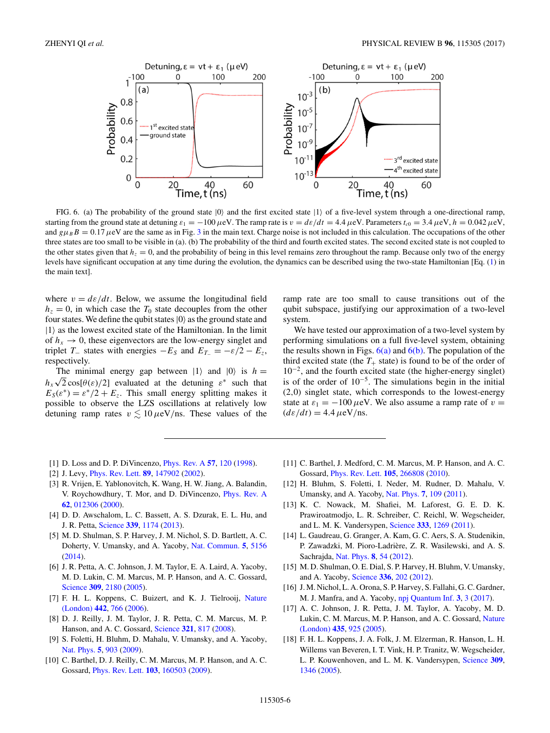<span id="page-5-0"></span>

FIG. 6. (a) The probability of the ground state  $|0\rangle$  and the first excited state  $|1\rangle$  of a five-level system through a one-directional ramp, starting from the ground state at detuning  $ε_1 = -100 \mu$ eV. The ramp rate is  $v = de/dt = 4.4 \mu$ eV. Parameters  $t_{c0} = 3.4 \mu$ eV,  $h = 0.042 \mu$ eV, and  $g\mu_B B = 0.17 \mu eV$  are the same as in Fig. [3](#page-1-0) in the main text. Charge noise is not included in this calculation. The occupations of the other three states are too small to be visible in (a). (b) The probability of the third and fourth excited states. The second excited state is not coupled to the other states given that  $h<sub>z</sub> = 0$ , and the probability of being in this level remains zero throughout the ramp. Because only two of the energy levels have significant occupation at any time during the evolution, the dynamics can be described using the two-state Hamiltonian [Eq. [\(1\)](#page-1-0) in the main text].

where  $v = d\varepsilon/dt$ . Below, we assume the longitudinal field  $h<sub>z</sub> = 0$ , in which case the  $T<sub>0</sub>$  state decouples from the other four states. We define the qubit states  $|0\rangle$  as the ground state and  $|1\rangle$  as the lowest excited state of the Hamiltonian. In the limit of  $h_x \rightarrow 0$ , these eigenvectors are the low-energy singlet and triplet *T*<sub>−</sub> states with energies  $-E<sub>S</sub>$  and  $E<sub>T<sub>−</sub></sub> = -\varepsilon/2 - E<sub>z</sub>$ , respectively.

The minimal energy gap between  $|1\rangle$  and  $|0\rangle$  is  $h =$  $h_x\sqrt{2}\cos[\theta(\varepsilon)/2]$  evaluated at the detuning  $\varepsilon^*$  such that  $E_S(\varepsilon^*) = \varepsilon^*/2 + E_z$ . This small energy splitting makes it possible to observe the LZS oscillations at relatively low detuning ramp rates  $v \lesssim 10 \,\mu\text{eV}}/$ ns. These values of the

ramp rate are too small to cause transitions out of the qubit subspace, justifying our approximation of a two-level system.

We have tested our approximation of a two-level system by performing simulations on a full five-level system, obtaining the results shown in Figs.  $6(a)$  and  $6(b)$ . The population of the third excited state (the  $T_+$  state) is found to be of the order of  $10^{-2}$ , and the fourth excited state (the higher-energy singlet) is of the order of 10−5. The simulations begin in the initial (2*,*0) singlet state, which corresponds to the lowest-energy state at  $\varepsilon_1 = -100 \,\mu\text{eV}$ . We also assume a ramp rate of  $v =$  $(d\varepsilon/dt) = 4.4 \,\mu\text{eV/ns}.$ 

- [1] D. Loss and D. P. DiVincenzo, [Phys. Rev. A](https://doi.org/10.1103/PhysRevA.57.120) **[57](https://doi.org/10.1103/PhysRevA.57.120)**, [120](https://doi.org/10.1103/PhysRevA.57.120) [\(1998\)](https://doi.org/10.1103/PhysRevA.57.120).
- [2] J. Levy, [Phys. Rev. Lett.](https://doi.org/10.1103/PhysRevLett.89.147902) **[89](https://doi.org/10.1103/PhysRevLett.89.147902)**, [147902](https://doi.org/10.1103/PhysRevLett.89.147902) [\(2002\)](https://doi.org/10.1103/PhysRevLett.89.147902).
- [3] R. Vrijen, E. Yablonovitch, K. Wang, H. W. Jiang, A. Balandin, V. Roychowdhury, T. Mor, and D. DiVincenzo, [Phys. Rev. A](https://doi.org/10.1103/PhysRevA.62.012306) **[62](https://doi.org/10.1103/PhysRevA.62.012306)**, [012306](https://doi.org/10.1103/PhysRevA.62.012306) [\(2000\)](https://doi.org/10.1103/PhysRevA.62.012306).
- [4] D. D. Awschalom, L. C. Bassett, A. S. Dzurak, E. L. Hu, and J. R. Petta, [Science](https://doi.org/10.1126/science.1231364) **[339](https://doi.org/10.1126/science.1231364)**, [1174](https://doi.org/10.1126/science.1231364) [\(2013\)](https://doi.org/10.1126/science.1231364).
- [5] M. D. Shulman, S. P. Harvey, J. M. Nichol, S. D. Bartlett, A. C. Doherty, V. Umansky, and A. Yacoby, [Nat. Commun.](https://doi.org/10.1038/ncomms6156) **[5](https://doi.org/10.1038/ncomms6156)**, [5156](https://doi.org/10.1038/ncomms6156) [\(2014\)](https://doi.org/10.1038/ncomms6156).
- [6] J. R. Petta, A. C. Johnson, J. M. Taylor, E. A. Laird, A. Yacoby, M. D. Lukin, C. M. Marcus, M. P. Hanson, and A. C. Gossard, [Science](https://doi.org/10.1126/science.1116955) **[309](https://doi.org/10.1126/science.1116955)**, [2180](https://doi.org/10.1126/science.1116955) [\(2005\)](https://doi.org/10.1126/science.1116955).
- [7] [F. H. L. Koppens, C. Buizert, and K. J. Tielrooij,](https://doi.org/10.1038/nature05065) Nature (London) **[442](https://doi.org/10.1038/nature05065)**, [766](https://doi.org/10.1038/nature05065) [\(2006\)](https://doi.org/10.1038/nature05065).
- [8] D. J. Reilly, J. M. Taylor, J. R. Petta, C. M. Marcus, M. P. Hanson, and A. C. Gossard, [Science](https://doi.org/10.1126/science.1159221) **[321](https://doi.org/10.1126/science.1159221)**, [817](https://doi.org/10.1126/science.1159221) [\(2008\)](https://doi.org/10.1126/science.1159221).
- [9] S. Foletti, H. Bluhm, D. Mahalu, V. Umansky, and A. Yacoby, [Nat. Phys.](https://doi.org/10.1038/nphys1424) **[5](https://doi.org/10.1038/nphys1424)**, [903](https://doi.org/10.1038/nphys1424) [\(2009\)](https://doi.org/10.1038/nphys1424).
- [10] C. Barthel, D. J. Reilly, C. M. Marcus, M. P. Hanson, and A. C. Gossard, [Phys. Rev. Lett.](https://doi.org/10.1103/PhysRevLett.103.160503) **[103](https://doi.org/10.1103/PhysRevLett.103.160503)**, [160503](https://doi.org/10.1103/PhysRevLett.103.160503) [\(2009\)](https://doi.org/10.1103/PhysRevLett.103.160503).
- [11] C. Barthel, J. Medford, C. M. Marcus, M. P. Hanson, and A. C. Gossard, [Phys. Rev. Lett.](https://doi.org/10.1103/PhysRevLett.105.266808) **[105](https://doi.org/10.1103/PhysRevLett.105.266808)**, [266808](https://doi.org/10.1103/PhysRevLett.105.266808) [\(2010\)](https://doi.org/10.1103/PhysRevLett.105.266808).
- [12] H. Bluhm, S. Foletti, I. Neder, M. Rudner, D. Mahalu, V. Umansky, and A. Yacoby, [Nat. Phys.](https://doi.org/10.1038/nphys1856) **[7](https://doi.org/10.1038/nphys1856)**, [109](https://doi.org/10.1038/nphys1856) [\(2011\)](https://doi.org/10.1038/nphys1856).
- [13] K. C. Nowack, M. Shafiei, M. Laforest, G. E. D. K. Prawiroatmodjo, L. R. Schreiber, C. Reichl, W. Wegscheider, and L. M. K. Vandersypen, [Science](https://doi.org/10.1126/science.1209524) **[333](https://doi.org/10.1126/science.1209524)**, [1269](https://doi.org/10.1126/science.1209524) [\(2011\)](https://doi.org/10.1126/science.1209524).
- [14] L. Gaudreau, G. Granger, A. Kam, G. C. Aers, S. A. Studenikin, P. Zawadzki, M. Pioro-Ladrière, Z. R. Wasilewski, and A. S. Sachrajda, [Nat. Phys.](https://doi.org/10.1038/nphys2149) **[8](https://doi.org/10.1038/nphys2149)**, [54](https://doi.org/10.1038/nphys2149) [\(2012\)](https://doi.org/10.1038/nphys2149).
- [15] M. D. Shulman, O. E. Dial, S. P. Harvey, H. Bluhm, V. Umansky, and A. Yacoby, [Science](https://doi.org/10.1126/science.1217692) **[336](https://doi.org/10.1126/science.1217692)**, [202](https://doi.org/10.1126/science.1217692) [\(2012\)](https://doi.org/10.1126/science.1217692).
- [16] J. M. Nichol, L. A. Orona, S. P. Harvey, S. Fallahi, G. C. Gardner, M. J. Manfra, and A. Yacoby, [npj Quantum Inf.](https://doi.org/10.1038/s41534-016-0003-1) **[3](https://doi.org/10.1038/s41534-016-0003-1)**, [3](https://doi.org/10.1038/s41534-016-0003-1) [\(2017\)](https://doi.org/10.1038/s41534-016-0003-1).
- [17] A. C. Johnson, J. R. Petta, J. M. Taylor, A. Yacoby, M. D. [Lukin, C. M. Marcus, M. P. Hanson, and A. C. Gossard,](https://doi.org/10.1038/nature03815) Nature (London) **[435](https://doi.org/10.1038/nature03815)**, [925](https://doi.org/10.1038/nature03815) [\(2005\)](https://doi.org/10.1038/nature03815).
- [18] F. H. L. Koppens, J. A. Folk, J. M. Elzerman, R. Hanson, L. H. Willems van Beveren, I. T. Vink, H. P. Tranitz, W. Wegscheider, L. P. Kouwenhoven, and L. M. K. Vandersypen, [Science](https://doi.org/10.1126/science.1113719) **[309](https://doi.org/10.1126/science.1113719)**, [1346](https://doi.org/10.1126/science.1113719) [\(2005\)](https://doi.org/10.1126/science.1113719).